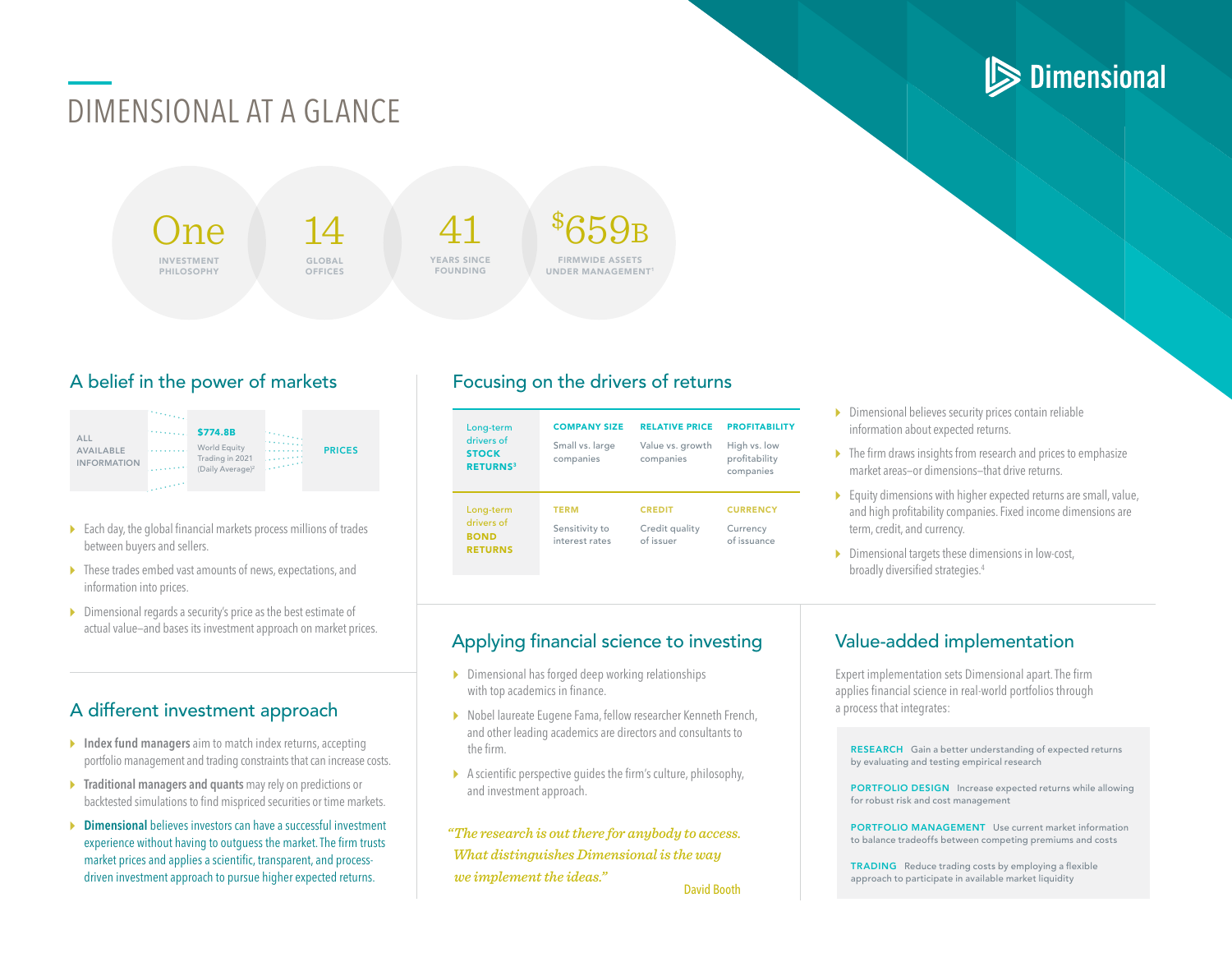## DIMENSIONAL AT A GLANCE

 $\ln \! \varrho$ INVESTMENT PHILOSOPHY

14 GLOBAL **OFFICES** 

41 YEARS SINCE FOUNDING

\$  $\mathcal{K}\mathsf{F}$ QB FIRMWIDE ASSETS UNDER MANAGEMENT

\$774.8B ALL World Equity PRICES AVAILABLE Trading in 2021  $2.2.4.4.4$ INFORMATION (Daily Average)2

- $\triangleright$  Each day, the global financial markets process millions of trades between buyers and sellers.
- $\triangleright$  These trades embed vast amounts of news, expectations, and information into prices.
- $\triangleright$  Dimensional regards a security's price as the best estimate of actual value—and bases its investment approach on market prices.

### A different investment approach

- $\triangleright$  Index fund managers aim to match index returns, accepting portfolio management and trading constraints that can increase costs.
- $\triangleright$  Traditional managers and quants may rely on predictions or backtested simulations to find mispriced securities or time markets.
- **Dimensional** believes investors can have a successful investment experience without having to outguess the market. The firm trusts market prices and applies a scientific, transparent, and processdriven investment approach to pursue higher expected returns.

#### A belief in the power of markets Focusing on the drivers of returns

| Long-term<br>drivers of<br><b>STOCK</b><br><b>RETURNS</b> <sup>3</sup> | <b>COMPANY SIZE</b><br>Small vs. large<br>companies | <b>RELATIVE PRICE</b><br>Value vs. growth<br>companies | <b>PROFITABILITY</b><br>High vs. low<br>profitability<br>companies |
|------------------------------------------------------------------------|-----------------------------------------------------|--------------------------------------------------------|--------------------------------------------------------------------|
| Long-term<br>drivers of<br><b>BOND</b><br><b>RETURNS</b>               | <b>TERM</b><br>Sensitivity to<br>interest rates     | <b>CREDIT</b><br>Credit quality<br>of issuer           | <b>CURRENCY</b><br>Currency<br>of issuance                         |

- $\triangleright$  Dimensional believes security prices contain reliable information about expected returns.
- $\triangleright$  The firm draws insights from research and prices to emphasize market areas—or dimensions—that drive returns.
- $\triangleright$  Equity dimensions with higher expected returns are small, value, and high profitability companies. Fixed income dimensions are term, credit, and currency.
- $\triangleright$  Dimensional targets these dimensions in low-cost, broadly diversified strategies.4

### Applying financial science to investing

- $\triangleright$  Dimensional has forged deep working relationships with top academics in finance.
- ▶ Nobel laureate Eugene Fama, fellow researcher Kenneth French, and other leading academics are directors and consultants to the firm.
- $\blacktriangleright$  A scientific perspective guides the firm's culture, philosophy, and investment approach.

*"The research is out there for anybody to access. What distinguishes Dimensional is the way we implement the ideas."* David Booth

#### Value-added implementation

Expert implementation sets Dimensional apart. The firm applies financial science in real-world portfolios through a process that integrates:

RESEARCH Gain a better understanding of expected returns by evaluating and testing empirical research

PORTFOLIO DESIGN Increase expected returns while allowing for robust risk and cost management

PORTFOLIO MANAGEMENT Use current market information to balance tradeoffs between competing premiums and costs

TRADING Reduce trading costs by employing a flexible approach to participate in available market liquidity

# **Dimensional**